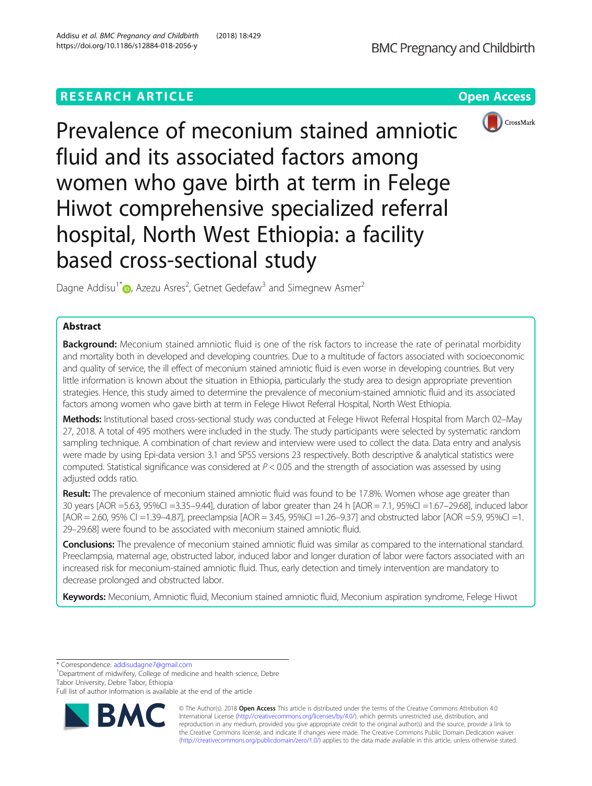# **RESEARCH ARTICLE Example 2018 12:30 THE OPEN Access**





Prevalence of meconium stained amniotic fluid and its associated factors among women who gave birth at term in Felege Hiwot comprehensive specialized referral hospital, North West Ethiopia: a facility based cross-sectional study

Dagne Addisu<sup>1\*</sup> <sub>(D</sub>[,](http://orcid.org/0000-0002-6087-6384) Azezu Asres<sup>2</sup>, Getnet Gedefaw<sup>3</sup> and Simegnew Asmer<sup>2</sup>

# Abstract

Background: Meconium stained amniotic fluid is one of the risk factors to increase the rate of perinatal morbidity and mortality both in developed and developing countries. Due to a multitude of factors associated with socioeconomic and quality of service, the ill effect of meconium stained amniotic fluid is even worse in developing countries. But very little information is known about the situation in Ethiopia, particularly the study area to design appropriate prevention strategies. Hence, this study aimed to determine the prevalence of meconium-stained amniotic fluid and its associated factors among women who gave birth at term in Felege Hiwot Referral Hospital, North West Ethiopia.

Methods: Institutional based cross-sectional study was conducted at Felege Hiwot Referral Hospital from March 02-May 27, 2018. A total of 495 mothers were included in the study. The study participants were selected by systematic random sampling technique. A combination of chart review and interview were used to collect the data. Data entry and analysis were made by using Epi-data version 3.1 and SPSS versions 23 respectively. Both descriptive & analytical statistics were computed. Statistical significance was considered at P < 0.05 and the strength of association was assessed by using adjusted odds ratio.

Result: The prevalence of meconium stained amniotic fluid was found to be 17.8%. Women whose age greater than 30 years [AOR =5.63, 95%CI =3.35–9.44], duration of labor greater than 24 h [AOR = 7.1, 95%Cl =1.67–29.68], induced labor [AOR = 2.60, 95% CI =1.39–4.87], preeclampsia [AOR = 3.45, 95%CI =1.26–9.37] and obstructed labor [AOR =5.9, 95%CI =1. 29–29.68] were found to be associated with meconium stained amniotic fluid.

**Conclusions:** The prevalence of meconium stained amniotic fluid was similar as compared to the international standard. Preeclampsia, maternal age, obstructed labor, induced labor and longer duration of labor were factors associated with an increased risk for meconium-stained amniotic fluid. Thus, early detection and timely intervention are mandatory to decrease prolonged and obstructed labor.

Keywords: Meconium, Amniotic fluid, Meconium stained amniotic fluid, Meconium aspiration syndrome, Felege Hiwot

\* Correspondence: [addisudagne7@gmail.com](mailto:addisudagne7@gmail.com) <sup>1</sup>

<sup>1</sup>Department of midwifery, College of medicine and health science, Debre Tabor University, Debre Tabor, Ethiopia

Full list of author information is available at the end of the article



© The Author(s). 2018 Open Access This article is distributed under the terms of the Creative Commons Attribution 4.0 International License [\(http://creativecommons.org/licenses/by/4.0/](http://creativecommons.org/licenses/by/4.0/)), which permits unrestricted use, distribution, and reproduction in any medium, provided you give appropriate credit to the original author(s) and the source, provide a link to the Creative Commons license, and indicate if changes were made. The Creative Commons Public Domain Dedication waiver [\(http://creativecommons.org/publicdomain/zero/1.0/](http://creativecommons.org/publicdomain/zero/1.0/)) applies to the data made available in this article, unless otherwise stated.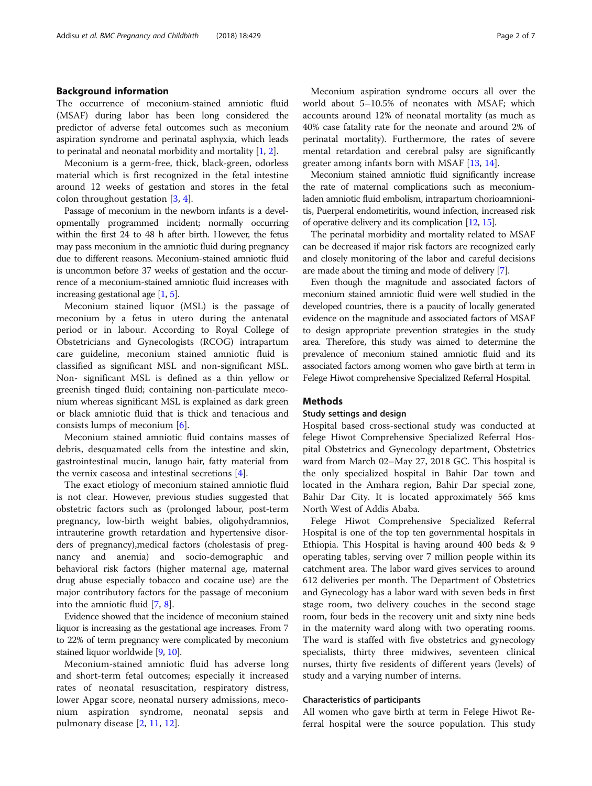## Background information

The occurrence of meconium-stained amniotic fluid (MSAF) during labor has been long considered the predictor of adverse fetal outcomes such as meconium aspiration syndrome and perinatal asphyxia, which leads to perinatal and neonatal morbidity and mortality [[1](#page-6-0), [2\]](#page-6-0).

Meconium is a germ-free, thick, black-green, odorless material which is first recognized in the fetal intestine around 12 weeks of gestation and stores in the fetal colon throughout gestation [\[3](#page-6-0), [4](#page-6-0)].

Passage of meconium in the newborn infants is a developmentally programmed incident; normally occurring within the first 24 to 48 h after birth. However, the fetus may pass meconium in the amniotic fluid during pregnancy due to different reasons. Meconium-stained amniotic fluid is uncommon before 37 weeks of gestation and the occurrence of a meconium-stained amniotic fluid increases with increasing gestational age  $[1, 5]$  $[1, 5]$  $[1, 5]$  $[1, 5]$ .

Meconium stained liquor (MSL) is the passage of meconium by a fetus in utero during the antenatal period or in labour. According to Royal College of Obstetricians and Gynecologists (RCOG) intrapartum care guideline, meconium stained amniotic fluid is classified as significant MSL and non-significant MSL. Non- significant MSL is defined as a thin yellow or greenish tinged fluid; containing non-particulate meconium whereas significant MSL is explained as dark green or black amniotic fluid that is thick and tenacious and consists lumps of meconium [\[6](#page-6-0)].

Meconium stained amniotic fluid contains masses of debris, desquamated cells from the intestine and skin, gastrointestinal mucin, lanugo hair, fatty material from the vernix caseosa and intestinal secretions [\[4](#page-6-0)].

The exact etiology of meconium stained amniotic fluid is not clear. However, previous studies suggested that obstetric factors such as (prolonged labour, post-term pregnancy, low-birth weight babies, oligohydramnios, intrauterine growth retardation and hypertensive disorders of pregnancy),medical factors (cholestasis of pregnancy and anemia) and socio-demographic and behavioral risk factors (higher maternal age, maternal drug abuse especially tobacco and cocaine use) are the major contributory factors for the passage of meconium into the amniotic fluid [\[7,](#page-6-0) [8\]](#page-6-0).

Evidence showed that the incidence of meconium stained liquor is increasing as the gestational age increases. From 7 to 22% of term pregnancy were complicated by meconium stained liquor worldwide [\[9,](#page-6-0) [10](#page-6-0)].

Meconium-stained amniotic fluid has adverse long and short-term fetal outcomes; especially it increased rates of neonatal resuscitation, respiratory distress, lower Apgar score, neonatal nursery admissions, meconium aspiration syndrome, neonatal sepsis and pulmonary disease [\[2](#page-6-0), [11](#page-6-0), [12\]](#page-6-0).

Meconium aspiration syndrome occurs all over the world about 5–10.5% of neonates with MSAF; which accounts around 12% of neonatal mortality (as much as 40% case fatality rate for the neonate and around 2% of perinatal mortality). Furthermore, the rates of severe mental retardation and cerebral palsy are significantly greater among infants born with MSAF [[13,](#page-6-0) [14\]](#page-6-0).

Meconium stained amniotic fluid significantly increase the rate of maternal complications such as meconiumladen amniotic fluid embolism, intrapartum chorioamnionitis, Puerperal endometiritis, wound infection, increased risk of operative delivery and its complication [\[12,](#page-6-0) [15\]](#page-6-0).

The perinatal morbidity and mortality related to MSAF can be decreased if major risk factors are recognized early and closely monitoring of the labor and careful decisions are made about the timing and mode of delivery [\[7\]](#page-6-0).

Even though the magnitude and associated factors of meconium stained amniotic fluid were well studied in the developed countries, there is a paucity of locally generated evidence on the magnitude and associated factors of MSAF to design appropriate prevention strategies in the study area. Therefore, this study was aimed to determine the prevalence of meconium stained amniotic fluid and its associated factors among women who gave birth at term in Felege Hiwot comprehensive Specialized Referral Hospital.

## **Methods**

## Study settings and design

Hospital based cross-sectional study was conducted at felege Hiwot Comprehensive Specialized Referral Hospital Obstetrics and Gynecology department, Obstetrics ward from March 02–May 27, 2018 GC. This hospital is the only specialized hospital in Bahir Dar town and located in the Amhara region, Bahir Dar special zone, Bahir Dar City. It is located approximately 565 kms North West of Addis Ababa.

Felege Hiwot Comprehensive Specialized Referral Hospital is one of the top ten governmental hospitals in Ethiopia. This Hospital is having around 400 beds & 9 operating tables, serving over 7 million people within its catchment area. The labor ward gives services to around 612 deliveries per month. The Department of Obstetrics and Gynecology has a labor ward with seven beds in first stage room, two delivery couches in the second stage room, four beds in the recovery unit and sixty nine beds in the maternity ward along with two operating rooms. The ward is staffed with five obstetrics and gynecology specialists, thirty three midwives, seventeen clinical nurses, thirty five residents of different years (levels) of study and a varying number of interns.

#### Characteristics of participants

All women who gave birth at term in Felege Hiwot Referral hospital were the source population. This study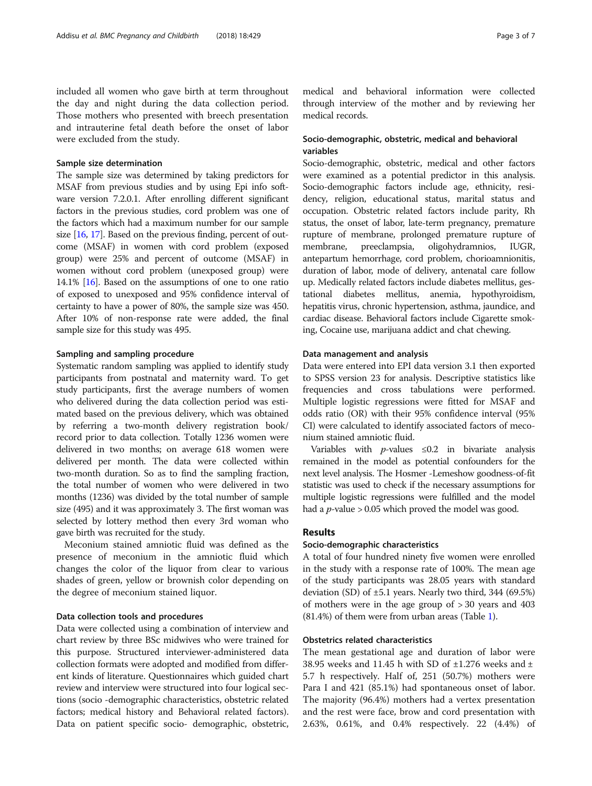included all women who gave birth at term throughout the day and night during the data collection period. Those mothers who presented with breech presentation and intrauterine fetal death before the onset of labor were excluded from the study.

### Sample size determination

The sample size was determined by taking predictors for MSAF from previous studies and by using Epi info software version 7.2.0.1. After enrolling different significant factors in the previous studies, cord problem was one of the factors which had a maximum number for our sample size  $[16, 17]$  $[16, 17]$  $[16, 17]$ . Based on the previous finding, percent of outcome (MSAF) in women with cord problem (exposed group) were 25% and percent of outcome (MSAF) in women without cord problem (unexposed group) were 14.1% [\[16\]](#page-6-0). Based on the assumptions of one to one ratio of exposed to unexposed and 95% confidence interval of certainty to have a power of 80%, the sample size was 450. After 10% of non-response rate were added, the final sample size for this study was 495.

### Sampling and sampling procedure

Systematic random sampling was applied to identify study participants from postnatal and maternity ward. To get study participants, first the average numbers of women who delivered during the data collection period was estimated based on the previous delivery, which was obtained by referring a two-month delivery registration book/ record prior to data collection. Totally 1236 women were delivered in two months; on average 618 women were delivered per month. The data were collected within two-month duration. So as to find the sampling fraction, the total number of women who were delivered in two months (1236) was divided by the total number of sample size (495) and it was approximately 3. The first woman was selected by lottery method then every 3rd woman who gave birth was recruited for the study.

Meconium stained amniotic fluid was defined as the presence of meconium in the amniotic fluid which changes the color of the liquor from clear to various shades of green, yellow or brownish color depending on the degree of meconium stained liquor.

## Data collection tools and procedures

Data were collected using a combination of interview and chart review by three BSc midwives who were trained for this purpose. Structured interviewer-administered data collection formats were adopted and modified from different kinds of literature. Questionnaires which guided chart review and interview were structured into four logical sections (socio -demographic characteristics, obstetric related factors; medical history and Behavioral related factors). Data on patient specific socio- demographic, obstetric, medical and behavioral information were collected through interview of the mother and by reviewing her medical records.

# Socio-demographic, obstetric, medical and behavioral variables

Socio-demographic, obstetric, medical and other factors were examined as a potential predictor in this analysis. Socio-demographic factors include age, ethnicity, residency, religion, educational status, marital status and occupation. Obstetric related factors include parity, Rh status, the onset of labor, late-term pregnancy, premature rupture of membrane, prolonged premature rupture of membrane, preeclampsia, oligohydramnios, IUGR, antepartum hemorrhage, cord problem, chorioamnionitis, duration of labor, mode of delivery, antenatal care follow up. Medically related factors include diabetes mellitus, gestational diabetes mellitus, anemia, hypothyroidism, hepatitis virus, chronic hypertension, asthma, jaundice, and cardiac disease. Behavioral factors include Cigarette smoking, Cocaine use, marijuana addict and chat chewing.

### Data management and analysis

Data were entered into EPI data version 3.1 then exported to SPSS version 23 for analysis. Descriptive statistics like frequencies and cross tabulations were performed. Multiple logistic regressions were fitted for MSAF and odds ratio (OR) with their 95% confidence interval (95% CI) were calculated to identify associated factors of meconium stained amniotic fluid.

Variables with  $p$ -values  $\leq 0.2$  in bivariate analysis remained in the model as potential confounders for the next level analysis. The Hosmer -Lemeshow goodness-of-fit statistic was used to check if the necessary assumptions for multiple logistic regressions were fulfilled and the model had a  $p$ -value > 0.05 which proved the model was good.

## Results

#### Socio-demographic characteristics

A total of four hundred ninety five women were enrolled in the study with a response rate of 100%. The mean age of the study participants was 28.05 years with standard deviation (SD) of ±5.1 years. Nearly two third, 344 (69.5%) of mothers were in the age group of > 30 years and 403 (81.4%) of them were from urban areas (Table [1\)](#page-3-0).

## Obstetrics related characteristics

The mean gestational age and duration of labor were 38.95 weeks and 11.45 h with SD of  $\pm$ 1.276 weeks and  $\pm$ 5.7 h respectively. Half of, 251 (50.7%) mothers were Para I and 421 (85.1%) had spontaneous onset of labor. The majority (96.4%) mothers had a vertex presentation and the rest were face, brow and cord presentation with 2.63%, 0.61%, and 0.4% respectively. 22 (4.4%) of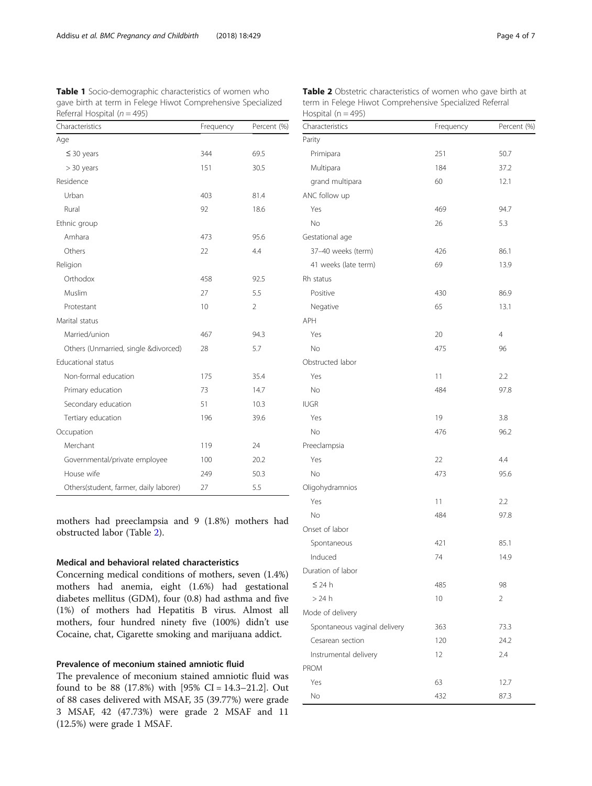<span id="page-3-0"></span>**Table 1** Socio-demographic characteristics of women who gave birth at term in Felege Hiwot Comprehensive Specialized Referral Hospital ( $n = 495$ )

| Characteristics                        | Frequency | Percent (%)    |  |
|----------------------------------------|-----------|----------------|--|
| Age                                    |           |                |  |
| $\leq$ 30 years                        | 344       | 69.5           |  |
| $> 30$ years                           | 151       | 30.5           |  |
| Residence                              |           |                |  |
| Urban                                  | 403       | 81.4           |  |
| Rural                                  | 92        | 18.6           |  |
| Ethnic group                           |           |                |  |
| Amhara                                 | 473       | 95.6           |  |
| Others                                 | 22        | 4.4            |  |
| Religion                               |           |                |  |
| Orthodox                               | 458       | 92.5           |  |
| Muslim                                 | 27        | 5.5            |  |
| Protestant                             | 10        | $\overline{2}$ |  |
| Marital status                         |           |                |  |
| Married/union                          | 467       | 94.3           |  |
| Others (Unmarried, single &divorced)   | 28        | 5.7            |  |
| <b>Educational status</b>              |           |                |  |
| Non-formal education                   | 175       | 35.4           |  |
| Primary education                      | 73        | 14.7           |  |
| Secondary education                    | 51        | 10.3           |  |
| Tertiary education                     | 196       | 39.6           |  |
| Occupation                             |           |                |  |
| Merchant                               | 119       | 24             |  |
| Governmental/private employee          | 100       | 20.2           |  |
| House wife                             | 249       | 50.3           |  |
| Others(student, farmer, daily laborer) | 27        | 5.5            |  |

mothers had preeclampsia and 9 (1.8%) mothers had obstructed labor (Table 2).

## Medical and behavioral related characteristics

Concerning medical conditions of mothers, seven (1.4%) mothers had anemia, eight (1.6%) had gestational diabetes mellitus (GDM), four (0.8) had asthma and five (1%) of mothers had Hepatitis B virus. Almost all mothers, four hundred ninety five (100%) didn't use Cocaine, chat, Cigarette smoking and marijuana addict.

## Prevalence of meconium stained amniotic fluid

The prevalence of meconium stained amniotic fluid was found to be 88 (17.8%) with [95% CI = 14.3–21.2]. Out of 88 cases delivered with MSAF, 35 (39.77%) were grade 3 MSAF, 42 (47.73%) were grade 2 MSAF and 11 (12.5%) were grade 1 MSAF.

| Characteristics              | Frequency | Percent (%)    |
|------------------------------|-----------|----------------|
| Parity                       |           |                |
| Primipara                    | 251       | 50.7           |
| Multipara                    | 184       | 37.2           |
| grand multipara              | 60        | 12.1           |
| ANC follow up                |           |                |
| Yes                          | 469       | 94.7           |
| No                           | 26        | 5.3            |
| Gestational age              |           |                |
| 37-40 weeks (term)           | 426       | 86.1           |
| 41 weeks (late term)         | 69        | 13.9           |
| Rh status                    |           |                |
| Positive                     | 430       | 86.9           |
| Negative                     | 65        | 13.1           |
| <b>APH</b>                   |           |                |
| Yes                          | 20        | $\overline{4}$ |
| No                           | 475       | 96             |
| Obstructed labor             |           |                |
| Yes                          | 11        | 2.2            |
| No                           | 484       | 97.8           |
| <b>IUGR</b>                  |           |                |
| Yes                          | 19        | 3.8            |
| No                           | 476       | 96.2           |
| Preeclampsia                 |           |                |
| Yes                          | 22        | 4.4            |
| No                           | 473       | 95.6           |
| Oligohydramnios              |           |                |
| Yes                          | 11        | 2.2            |
| No                           | 484       | 97.8           |
| Onset of labor               |           |                |
| Spontaneous                  | 421       | 85.1           |
| Induced                      | 74        | 14.9           |
| Duration of labor            |           |                |
| $\leq$ 24 h                  | 485       | 98             |
| $>24$ h                      | 10        | 2              |
| Mode of delivery             |           |                |
| Spontaneous vaginal delivery | 363       | 73.3           |
| Cesarean section             | 120       | 24.2           |
| Instrumental delivery        | 12        | 2.4            |
| <b>PROM</b>                  |           |                |
| Yes                          | 63        | 12.7           |
| No                           | 432       | 87.3           |

Table 2 Obstetric characteristics of women who gave birth at term in Felege Hiwot Comprehensive Specialized Referral Hospital ( $n = 495$ )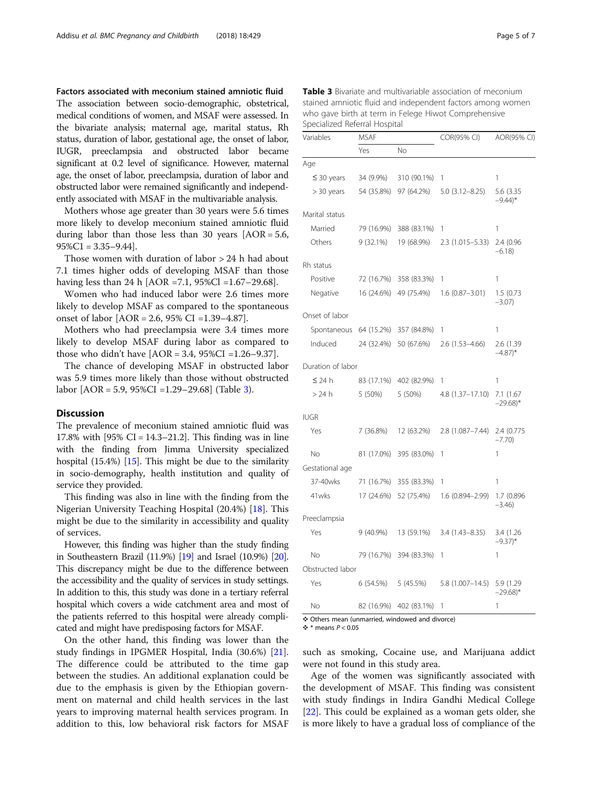Factors associated with meconium stained amniotic fluid The association between socio-demographic, obstetrical, medical conditions of women, and MSAF were assessed. In the bivariate analysis; maternal age, marital status, Rh status, duration of labor, gestational age, the onset of labor, IUGR, preeclampsia and obstructed labor became significant at 0.2 level of significance. However, maternal age, the onset of labor, preeclampsia, duration of labor and obstructed labor were remained significantly and independently associated with MSAF in the multivariable analysis.

Mothers whose age greater than 30 years were 5.6 times more likely to develop meconium stained amniotic fluid during labor than those less than 30 years  $[AOR = 5.6,$  $95\%$ C1 = 3.35–9.44].

Those women with duration of labor > 24 h had about 7.1 times higher odds of developing MSAF than those having less than 24 h [AOR =7.1, 95%Cl =1.67–29.68].

Women who had induced labor were 2.6 times more likely to develop MSAF as compared to the spontaneous onset of labor [AOR = 2.6, 95% CI =1.39–4.87].

Mothers who had preeclampsia were 3.4 times more likely to develop MSAF during labor as compared to those who didn't have  $[AOR = 3.4, 95\%CI = 1.26 - 9.37]$ .

The chance of developing MSAF in obstructed labor was 5.9 times more likely than those without obstructed labor [AOR = 5.9, 95%CI =1.29–29.68] (Table 3).

## **Discussion**

The prevalence of meconium stained amniotic fluid was 17.8% with  $[95\% \text{ CI} = 14.3-21.2]$ . This finding was in line with the finding from Jimma University specialized hospital (15.4%) [[15](#page-6-0)]. This might be due to the similarity in socio-demography, health institution and quality of service they provided.

This finding was also in line with the finding from the Nigerian University Teaching Hospital (20.4%) [\[18](#page-6-0)]. This might be due to the similarity in accessibility and quality of services.

However, this finding was higher than the study finding in Southeastern Brazil (11.9%) [[19](#page-6-0)] and Israel (10.9%) [\[20](#page-6-0)]. This discrepancy might be due to the difference between the accessibility and the quality of services in study settings. In addition to this, this study was done in a tertiary referral hospital which covers a wide catchment area and most of the patients referred to this hospital were already complicated and might have predisposing factors for MSAF.

On the other hand, this finding was lower than the study findings in IPGMER Hospital, India (30.6%) [\[21](#page-6-0)]. The difference could be attributed to the time gap between the studies. An additional explanation could be due to the emphasis is given by the Ethiopian government on maternal and child health services in the last years to improving maternal health services program. In addition to this, low behavioral risk factors for MSAF

Table 3 Bivariate and multivariable association of meconium stained amniotic fluid and independent factors among women who gave birth at term in Felege Hiwot Comprehensive Specialized Referral Hospital

| Variables         | <b>MSAF</b> |             | COR(95% CI)         | AOR(95% CI)                        |
|-------------------|-------------|-------------|---------------------|------------------------------------|
|                   | Yes         | No          |                     |                                    |
| Age               |             |             |                     |                                    |
| $\leq$ 30 years   | 34 (9.9%)   | 310 (90.1%) | 1                   | 1                                  |
| > 30 years        | 54 (35.8%)  | 97 (64.2%)  | $5.0(3.12 - 8.25)$  | 5.6 (3.35<br>$-9.44$ <sup>*</sup>  |
| Marital status    |             |             |                     |                                    |
| Married           | 79 (16.9%)  | 388 (83.1%) | 1                   | 1                                  |
| Others            | $9(32.1\%)$ | 19 (68.9%)  | $2.3(1.015 - 5.33)$ | 2.4 (0.96<br>$-6.18$               |
| Rh status         |             |             |                     |                                    |
| Positive          | 72 (16.7%)  | 358 (83.3%) | 1                   | 1                                  |
| Negative          | 16 (24.6%)  | 49 (75.4%)  | $1.6(0.87 - 3.01)$  | 1.5(0.73)<br>$-3.07$ )             |
| Onset of labor    |             |             |                     |                                    |
| Spontaneous       | 64 (15.2%)  | 357 (84.8%) | 1                   | 1                                  |
| Induced           | 24 (32.4%)  | 50 (67.6%)  | $2.6(1.53 - 4.66)$  | 2.6 (1.39)<br>$-4.87$ <sup>*</sup> |
| Duration of labor |             |             |                     |                                    |
| $\leq$ 24 h       | 83 (17.1%)  | 402 (82.9%) | 1                   | 1                                  |
| > 24 h            | 5 (50%)     | 5 (50%)     | 4.8 (1.37-17.10)    | 7.1 (1.67<br>$-29.68$ <sup>*</sup> |
| <b>IUGR</b>       |             |             |                     |                                    |
| Yes               | 7 (36.8%)   | 12 (63.2%)  | $2.8(1.087 - 7.44)$ | 2.4 (0.775<br>$-7.70$              |
| No                | 81 (17.0%)  | 395 (83.0%) | 1                   | 1                                  |
| Gestational age   |             |             |                     |                                    |
| 37-40wks          | 71 (16.7%)  | 355 (83.3%) | 1                   | 1                                  |
| 41wks             | 17 (24.6%)  | 52 (75.4%)  | 1.6 (0.894-2.99)    | 1.7 (0.896<br>$-3.46$              |
| Preeclampsia      |             |             |                     |                                    |
| Yes               | $9(40.9\%)$ | 13 (59.1%)  | $3.4(1.43 - 8.35)$  | 3.4 (1.26)<br>$-9.37$ <sup>*</sup> |
| No                | 79 (16.7%)  | 394 (83.3%) | 1                   | 1                                  |
| Obstructed labor  |             |             |                     |                                    |
| Yes               | 6(54.5%)    | 5 (45.5%)   | 5.8 (1.007-14.5)    | 5.9 (1.29<br>$-29.68$ <sup>*</sup> |
| No                | 82 (16.9%)  | 402 (83.1%) | 1                   | 1                                  |

❖ Others mean (unmarried, windowed and divorce)

 $\div$  \* means  $P < 0.05$ 

such as smoking, Cocaine use, and Marijuana addict were not found in this study area.

Age of the women was significantly associated with the development of MSAF. This finding was consistent with study findings in Indira Gandhi Medical College [[22\]](#page-6-0). This could be explained as a woman gets older, she is more likely to have a gradual loss of compliance of the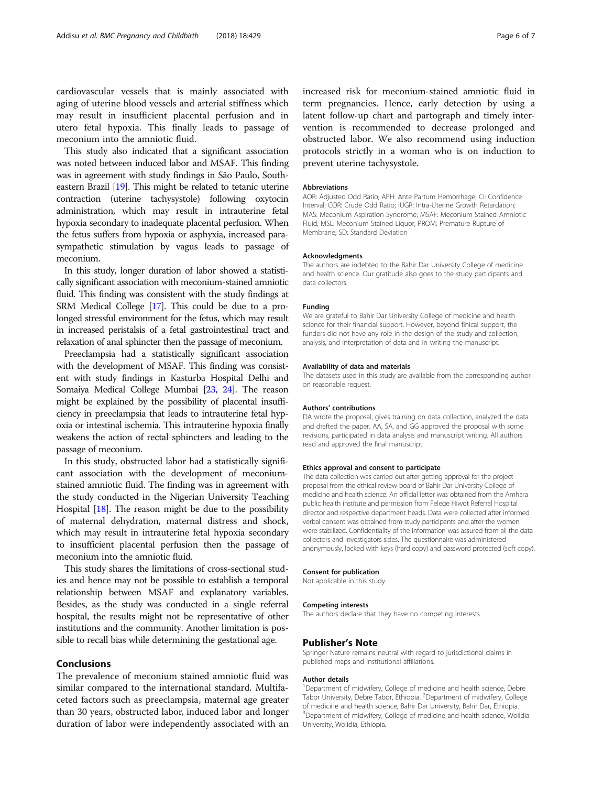cardiovascular vessels that is mainly associated with aging of uterine blood vessels and arterial stiffness which may result in insufficient placental perfusion and in utero fetal hypoxia. This finally leads to passage of meconium into the amniotic fluid.

This study also indicated that a significant association was noted between induced labor and MSAF. This finding was in agreement with study findings in São Paulo, Southeastern Brazil [\[19\]](#page-6-0). This might be related to tetanic uterine contraction (uterine tachysystole) following oxytocin administration, which may result in intrauterine fetal hypoxia secondary to inadequate placental perfusion. When the fetus suffers from hypoxia or asphyxia, increased parasympathetic stimulation by vagus leads to passage of meconium.

In this study, longer duration of labor showed a statistically significant association with meconium-stained amniotic fluid. This finding was consistent with the study findings at SRM Medical College [\[17](#page-6-0)]. This could be due to a prolonged stressful environment for the fetus, which may result in increased peristalsis of a fetal gastrointestinal tract and relaxation of anal sphincter then the passage of meconium.

Preeclampsia had a statistically significant association with the development of MSAF. This finding was consistent with study findings in Kasturba Hospital Delhi and Somaiya Medical College Mumbai [\[23,](#page-6-0) [24\]](#page-6-0). The reason might be explained by the possibility of placental insufficiency in preeclampsia that leads to intrauterine fetal hypoxia or intestinal ischemia. This intrauterine hypoxia finally weakens the action of rectal sphincters and leading to the passage of meconium.

In this study, obstructed labor had a statistically significant association with the development of meconiumstained amniotic fluid. The finding was in agreement with the study conducted in the Nigerian University Teaching Hospital [\[18\]](#page-6-0). The reason might be due to the possibility of maternal dehydration, maternal distress and shock, which may result in intrauterine fetal hypoxia secondary to insufficient placental perfusion then the passage of meconium into the amniotic fluid.

This study shares the limitations of cross-sectional studies and hence may not be possible to establish a temporal relationship between MSAF and explanatory variables. Besides, as the study was conducted in a single referral hospital, the results might not be representative of other institutions and the community. Another limitation is possible to recall bias while determining the gestational age.

#### Conclusions

The prevalence of meconium stained amniotic fluid was similar compared to the international standard. Multifaceted factors such as preeclampsia, maternal age greater than 30 years, obstructed labor, induced labor and longer duration of labor were independently associated with an

increased risk for meconium-stained amniotic fluid in term pregnancies. Hence, early detection by using a latent follow-up chart and partograph and timely intervention is recommended to decrease prolonged and obstructed labor. We also recommend using induction protocols strictly in a woman who is on induction to prevent uterine tachysystole.

#### Abbreviations

AOR: Adjusted Odd Ratio; APH: Ante Partum Hemorrhage; CI: Confidence Interval; COR: Crude Odd Ratio; IUGR: Intra-Uterine Growth Retardation; MAS: Meconium Aspiration Syndrome; MSAF: Meconium Stained Amniotic Fluid; MSL: Meconium Stained Liquor; PROM: Premature Rupture of Membrane; SD: Standard Deviation

#### Acknowledgments

The authors are indebted to the Bahir Dar University College of medicine and health science. Our gratitude also goes to the study participants and data collectors.

#### Funding

We are grateful to Bahir Dar University College of medicine and health science for their financial support. However, beyond finical support, the funders did not have any role in the design of the study and collection. analysis, and interpretation of data and in writing the manuscript.

## Availability of data and materials

The datasets used in this study are available from the corresponding author on reasonable request.

#### Authors' contributions

DA wrote the proposal, gives training on data collection, analyzed the data and drafted the paper. AA, SA, and GG approved the proposal with some revisions, participated in data analysis and manuscript writing. All authors read and approved the final manuscript.

#### Ethics approval and consent to participate

The data collection was carried out after getting approval for the project proposal from the ethical review board of Bahir Dar University College of medicine and health science. An official letter was obtained from the Amhara public health institute and permission from Felege Hiwot Referral Hospital director and respective department heads. Data were collected after informed verbal consent was obtained from study participants and after the women were stabilized. Confidentiality of the information was assured from all the data collectors and investigators sides. The questionnaire was administered anonymously, locked with keys (hard copy) and password protected (soft copy).

#### Consent for publication

Not applicable in this study.

#### Competing interests

The authors declare that they have no competing interests.

#### Publisher's Note

Springer Nature remains neutral with regard to jurisdictional claims in published maps and institutional affiliations.

#### Author details

<sup>1</sup>Department of midwifery, College of medicine and health science, Debre Tabor University, Debre Tabor, Ethiopia. <sup>2</sup>Department of midwifery, College of medicine and health science, Bahir Dar University, Bahir Dar, Ethiopia. <sup>3</sup>Department of midwifery, College of medicine and health science, Wolidia University, Wolidia, Ethiopia.